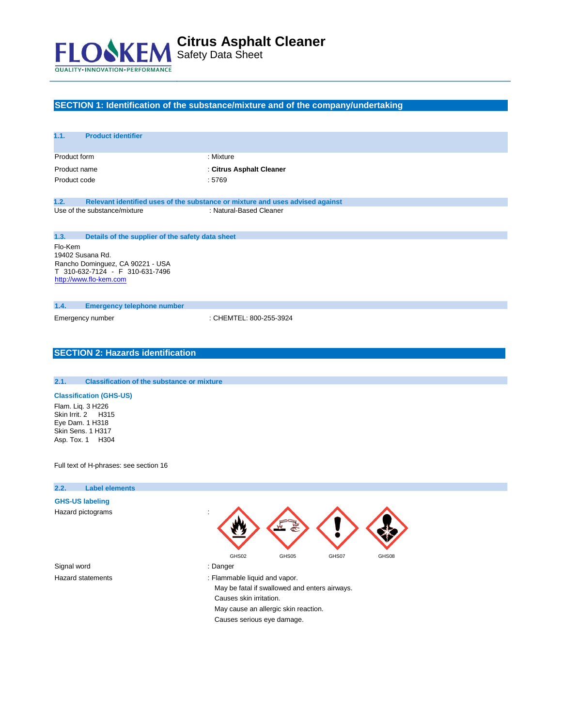

# **SECTION 1: Identification of the substance/mixture and of the company/undertaking**

| 1.1.                                                                                                                         | <b>Product identifier</b>                        |                                                                               |
|------------------------------------------------------------------------------------------------------------------------------|--------------------------------------------------|-------------------------------------------------------------------------------|
| Product form                                                                                                                 |                                                  | : Mixture                                                                     |
| Product name                                                                                                                 |                                                  | : Citrus Asphalt Cleaner                                                      |
| Product code                                                                                                                 |                                                  | : 5769                                                                        |
| 1.2.                                                                                                                         |                                                  | Relevant identified uses of the substance or mixture and uses advised against |
|                                                                                                                              | Use of the substance/mixture                     | : Natural-Based Cleaner                                                       |
| 1.3.                                                                                                                         | Details of the supplier of the safety data sheet |                                                                               |
| Flo-Kem<br>19402 Susana Rd.<br>Rancho Dominguez, CA 90221 - USA<br>T 310-632-7124 - F 310-631-7496<br>http://www.flo-kem.com |                                                  |                                                                               |
| 1.4.                                                                                                                         | <b>Emergency telephone number</b>                |                                                                               |
|                                                                                                                              | Emergency number                                 | : CHEMTEL: 800-255-3924                                                       |

### **SECTION 2: Hazards identification**

#### **2.1. Classification of the substance or mixture**

#### **Classification (GHS-US)**

Flam. Liq. 3 H226 Skin Irrit. 2 H315 Eye Dam. 1 H318 Skin Sens. 1 H317 Asp. Tox. 1 H304

#### Full text of H-phrases: see section 16

# **2.2. Label elements**

# **GHS-US labeling**

Hazard pictograms :

Hazard statements **Example 2018** SHammable liquid and vapor. Signal word in the state of the Signal word in the Signal word in the Signal word in the Signal of the Signal Signal of the Signal of the Signal of the Signal of the Signal of the Signal of the Signal of the Signal of the



- May be fatal if swallowed and enters airways. Causes skin irritation.
- 
- May cause an allergic skin reaction.
- Causes serious eye damage.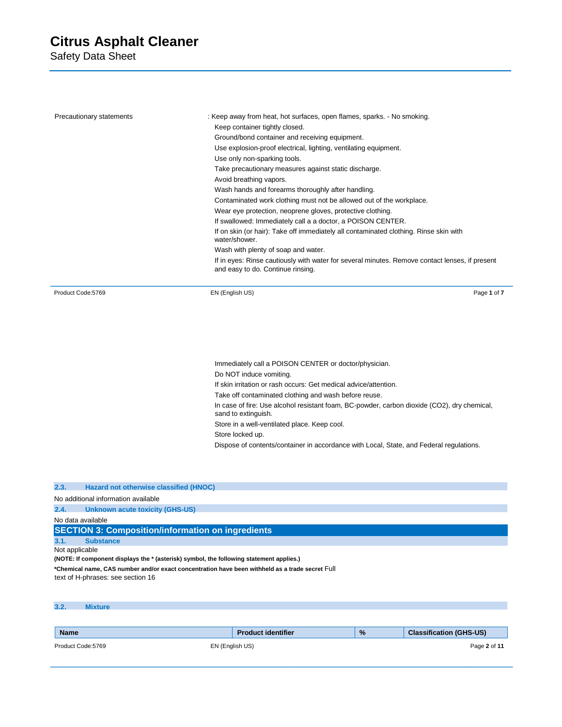Safety Data Sheet

| Precautionary statements | : Keep away from heat, hot surfaces, open flames, sparks. - No smoking.<br>Keep container tightly closed.<br>Ground/bond container and receiving equipment.<br>Use explosion-proof electrical, lighting, ventilating equipment.<br>Use only non-sparking tools.<br>Take precautionary measures against static discharge.<br>Avoid breathing vapors.<br>Wash hands and forearms thoroughly after handling.<br>Contaminated work clothing must not be allowed out of the workplace.<br>Wear eye protection, neoprene gloves, protective clothing.<br>If swallowed: Immediately call a a doctor, a POISON CENTER.<br>If on skin (or hair): Take off immediately all contaminated clothing. Rinse skin with<br>water/shower.<br>Wash with plenty of soap and water.<br>If in eyes: Rinse cautiously with water for several minutes. Remove contact lenses, if present<br>and easy to do. Continue rinsing. |  |
|--------------------------|--------------------------------------------------------------------------------------------------------------------------------------------------------------------------------------------------------------------------------------------------------------------------------------------------------------------------------------------------------------------------------------------------------------------------------------------------------------------------------------------------------------------------------------------------------------------------------------------------------------------------------------------------------------------------------------------------------------------------------------------------------------------------------------------------------------------------------------------------------------------------------------------------------|--|
| Product Code:5769        | EN (English US)<br>Page 1 of 7                                                                                                                                                                                                                                                                                                                                                                                                                                                                                                                                                                                                                                                                                                                                                                                                                                                                         |  |
|                          | Immediately call a POISON CENTER or doctor/physician.<br>Do NOT induce vomiting.<br>If skin irritation or rash occurs: Get medical advice/attention.<br>Take off contaminated clothing and wash before reuse.<br>In case of fire: Use alcohol resistant foam, BC-powder, carbon dioxide (CO2), dry chemical,<br>sand to extinguish.<br>Store in a well-ventilated place. Keep cool.<br>Store locked up.<br>Dispose of contents/container in accordance with Local, State, and Federal regulations.                                                                                                                                                                                                                                                                                                                                                                                                     |  |

### **2.3. Hazard not otherwise classified (HNOC)**

#### No additional information available

#### **2.4. Unknown acute toxicity (GHS-US)**

No data available

# **SECTION 3: Composition/information on ingredients**

**3.1. Substance** 

Not applicable

**(NOTE: If component displays the \* (asterisk) symbol, the following statement applies.)** 

**\*Chemical name, CAS number and/or exact concentration have been withheld as a trade secret** Full

text of H-phrases: see section 16

### **3.2. Mixture**

| <b>Name</b>       | <b>Product identifier</b> | $\frac{9}{6}$ | <b>Classification (GHS-US)</b> |
|-------------------|---------------------------|---------------|--------------------------------|
| Product Code:5769 | EN (English US)           |               | Page 2 of 11                   |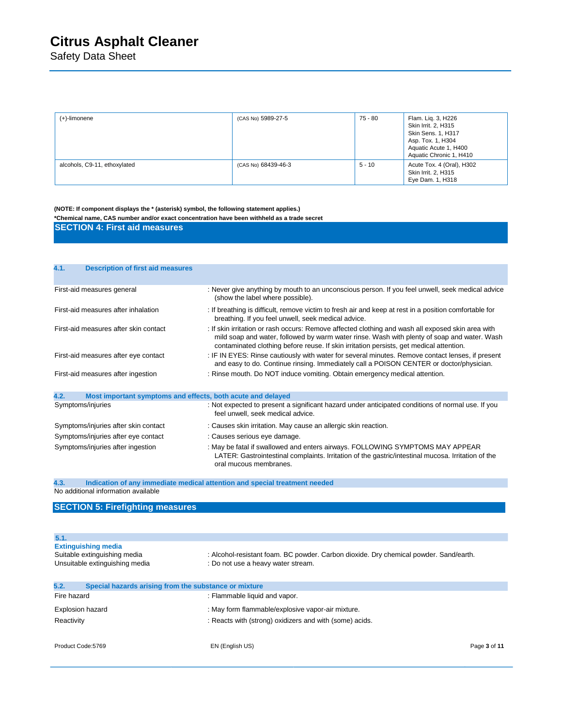Safety Data Sheet

| (+)-limonene                 | (CAS No) 5989-27-5  | 75 - 80  | Flam. Lig. 3, H226<br>Skin Irrit. 2, H315<br>Skin Sens. 1, H317<br>Asp. Tox. 1, H304<br>Aquatic Acute 1, H400<br>Aquatic Chronic 1, H410 |
|------------------------------|---------------------|----------|------------------------------------------------------------------------------------------------------------------------------------------|
| alcohols, C9-11, ethoxylated | (CAS No) 68439-46-3 | $5 - 10$ | Acute Tox. 4 (Oral), H302<br>Skin Irrit. 2, H315<br>Eye Dam. 1, H318                                                                     |

**(NOTE: If component displays the \* (asterisk) symbol, the following statement applies.) \*Chemical name, CAS number and/or exact concentration have been withheld as a trade secret SECTION 4: First aid measures** 

| 4.1.<br><b>Description of first aid measures</b>                    |                                                                                                                                                                                                                                                                                             |
|---------------------------------------------------------------------|---------------------------------------------------------------------------------------------------------------------------------------------------------------------------------------------------------------------------------------------------------------------------------------------|
|                                                                     |                                                                                                                                                                                                                                                                                             |
| First-aid measures general                                          | : Never give anything by mouth to an unconscious person. If you feel unwell, seek medical advice<br>(show the label where possible).                                                                                                                                                        |
| First-aid measures after inhalation                                 | : If breathing is difficult, remove victim to fresh air and keep at rest in a position comfortable for<br>breathing. If you feel unwell, seek medical advice.                                                                                                                               |
| First-aid measures after skin contact                               | : If skin irritation or rash occurs: Remove affected clothing and wash all exposed skin area with<br>mild soap and water, followed by warm water rinse. Wash with plenty of soap and water. Wash<br>contaminated clothing before reuse. If skin irritation persists, get medical attention. |
| First-aid measures after eye contact                                | : IF IN EYES: Rinse cautiously with water for several minutes. Remove contact lenses, if present<br>and easy to do. Continue rinsing. Immediately call a POISON CENTER or doctor/physician.                                                                                                 |
| First-aid measures after ingestion                                  | : Rinse mouth. Do NOT induce vomiting. Obtain emergency medical attention.                                                                                                                                                                                                                  |
| 4.2.<br>Most important symptoms and effects, both acute and delayed |                                                                                                                                                                                                                                                                                             |
| Symptoms/injuries                                                   | : Not expected to present a significant hazard under anticipated conditions of normal use. If you<br>feel unwell, seek medical advice.                                                                                                                                                      |
| Symptoms/injuries after skin contact                                | : Causes skin irritation. May cause an allergic skin reaction.                                                                                                                                                                                                                              |
| Symptoms/injuries after eye contact                                 | : Causes serious eye damage.                                                                                                                                                                                                                                                                |
| Symptoms/injuries after ingestion                                   | : May be fatal if swallowed and enters airways. FOLLOWING SYMPTOMS MAY APPEAR<br>LATER: Gastrointestinal complaints. Irritation of the gastric/intestinal mucosa. Irritation of the<br>oral mucous membranes.                                                                               |

**4.3. Indication of any immediate medical attention and special treatment needed** 

No additional information available

# **SECTION 5: Firefighting measures**

| 5.1.<br><b>Extinguishing media</b><br>Suitable extinguishing media<br>Unsuitable extinguishing media | : Alcohol-resistant foam. BC powder. Carbon dioxide. Dry chemical powder. Sand/earth.<br>: Do not use a heavy water stream. |              |
|------------------------------------------------------------------------------------------------------|-----------------------------------------------------------------------------------------------------------------------------|--------------|
| 5.2.<br>Special hazards arising from the substance or mixture                                        |                                                                                                                             |              |
| Fire hazard                                                                                          | : Flammable liquid and vapor.                                                                                               |              |
| <b>Explosion hazard</b>                                                                              | : May form flammable/explosive vapor-air mixture.                                                                           |              |
| Reactivity                                                                                           | : Reacts with (strong) oxidizers and with (some) acids.                                                                     |              |
|                                                                                                      |                                                                                                                             |              |
| Product Code: 5769                                                                                   | EN (English US)                                                                                                             | Page 3 of 11 |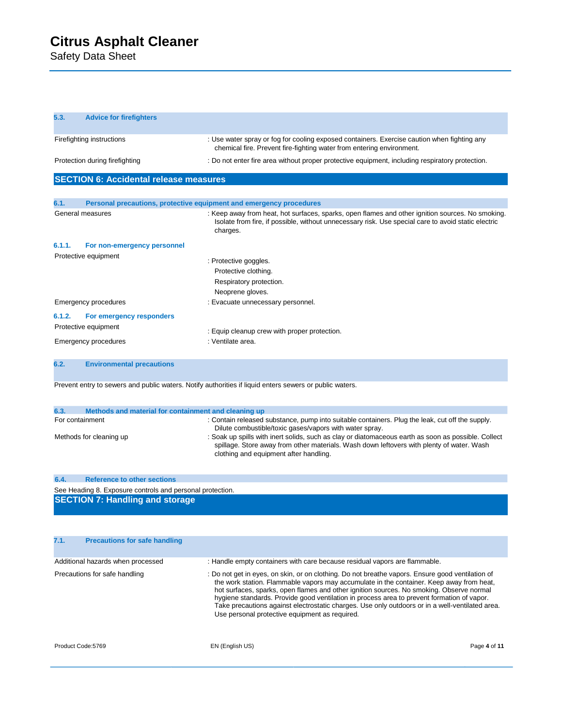Safety Data Sheet

| 5.3.            | <b>Advice for firefighters</b>                                                                      |                                                                                                                                                                                                                                                                                                                                                                                                                                                                                                                                             |
|-----------------|-----------------------------------------------------------------------------------------------------|---------------------------------------------------------------------------------------------------------------------------------------------------------------------------------------------------------------------------------------------------------------------------------------------------------------------------------------------------------------------------------------------------------------------------------------------------------------------------------------------------------------------------------------------|
|                 | Firefighting instructions                                                                           | : Use water spray or fog for cooling exposed containers. Exercise caution when fighting any<br>chemical fire. Prevent fire-fighting water from entering environment.                                                                                                                                                                                                                                                                                                                                                                        |
|                 | Protection during firefighting                                                                      | : Do not enter fire area without proper protective equipment, including respiratory protection.                                                                                                                                                                                                                                                                                                                                                                                                                                             |
|                 | <b>SECTION 6: Accidental release measures</b>                                                       |                                                                                                                                                                                                                                                                                                                                                                                                                                                                                                                                             |
|                 |                                                                                                     |                                                                                                                                                                                                                                                                                                                                                                                                                                                                                                                                             |
| 6.1.            |                                                                                                     | Personal precautions, protective equipment and emergency procedures                                                                                                                                                                                                                                                                                                                                                                                                                                                                         |
|                 | General measures                                                                                    | : Keep away from heat, hot surfaces, sparks, open flames and other ignition sources. No smoking.<br>Isolate from fire, if possible, without unnecessary risk. Use special care to avoid static electric<br>charges.                                                                                                                                                                                                                                                                                                                         |
| 6.1.1.          | For non-emergency personnel                                                                         |                                                                                                                                                                                                                                                                                                                                                                                                                                                                                                                                             |
|                 | Protective equipment                                                                                | : Protective goggles.                                                                                                                                                                                                                                                                                                                                                                                                                                                                                                                       |
|                 |                                                                                                     | Protective clothing.                                                                                                                                                                                                                                                                                                                                                                                                                                                                                                                        |
|                 |                                                                                                     | Respiratory protection.                                                                                                                                                                                                                                                                                                                                                                                                                                                                                                                     |
|                 |                                                                                                     | Neoprene gloves.                                                                                                                                                                                                                                                                                                                                                                                                                                                                                                                            |
|                 | <b>Emergency procedures</b>                                                                         | : Evacuate unnecessary personnel.                                                                                                                                                                                                                                                                                                                                                                                                                                                                                                           |
| 6.1.2.          |                                                                                                     |                                                                                                                                                                                                                                                                                                                                                                                                                                                                                                                                             |
|                 | For emergency responders                                                                            |                                                                                                                                                                                                                                                                                                                                                                                                                                                                                                                                             |
|                 | Protective equipment                                                                                | : Equip cleanup crew with proper protection.                                                                                                                                                                                                                                                                                                                                                                                                                                                                                                |
|                 | <b>Emergency procedures</b>                                                                         | : Ventilate area.                                                                                                                                                                                                                                                                                                                                                                                                                                                                                                                           |
| 6.2.            | <b>Environmental precautions</b>                                                                    |                                                                                                                                                                                                                                                                                                                                                                                                                                                                                                                                             |
|                 |                                                                                                     | Prevent entry to sewers and public waters. Notify authorities if liquid enters sewers or public waters.                                                                                                                                                                                                                                                                                                                                                                                                                                     |
|                 |                                                                                                     |                                                                                                                                                                                                                                                                                                                                                                                                                                                                                                                                             |
| 6.3.            | Methods and material for containment and cleaning up                                                |                                                                                                                                                                                                                                                                                                                                                                                                                                                                                                                                             |
| For containment |                                                                                                     | : Contain released substance, pump into suitable containers. Plug the leak, cut off the supply.                                                                                                                                                                                                                                                                                                                                                                                                                                             |
|                 | Methods for cleaning up                                                                             | Dilute combustible/toxic gases/vapors with water spray.<br>: Soak up spills with inert solids, such as clay or diatomaceous earth as soon as possible. Collect<br>spillage. Store away from other materials. Wash down leftovers with plenty of water. Wash<br>clothing and equipment after handling.                                                                                                                                                                                                                                       |
|                 |                                                                                                     |                                                                                                                                                                                                                                                                                                                                                                                                                                                                                                                                             |
| 6.4.            | <b>Reference to other sections</b>                                                                  |                                                                                                                                                                                                                                                                                                                                                                                                                                                                                                                                             |
|                 | See Heading 8. Exposure controls and personal protection.<br><b>SECTION 7: Handling and storage</b> |                                                                                                                                                                                                                                                                                                                                                                                                                                                                                                                                             |
|                 |                                                                                                     |                                                                                                                                                                                                                                                                                                                                                                                                                                                                                                                                             |
| 7.1.            | <b>Precautions for safe handling</b>                                                                |                                                                                                                                                                                                                                                                                                                                                                                                                                                                                                                                             |
|                 | Additional hazards when processed                                                                   | : Handle empty containers with care because residual vapors are flammable.                                                                                                                                                                                                                                                                                                                                                                                                                                                                  |
|                 | Precautions for safe handling                                                                       | : Do not get in eyes, on skin, or on clothing. Do not breathe vapors. Ensure good ventilation of<br>the work station. Flammable vapors may accumulate in the container. Keep away from heat,<br>hot surfaces, sparks, open flames and other ignition sources. No smoking. Observe normal<br>hygiene standards. Provide good ventilation in process area to prevent formation of vapor.<br>Take precautions against electrostatic charges. Use only outdoors or in a well-ventilated area.<br>Use personal protective equipment as required. |
|                 | Product Code: 5769                                                                                  | EN (English US)<br>Page 4 of 11                                                                                                                                                                                                                                                                                                                                                                                                                                                                                                             |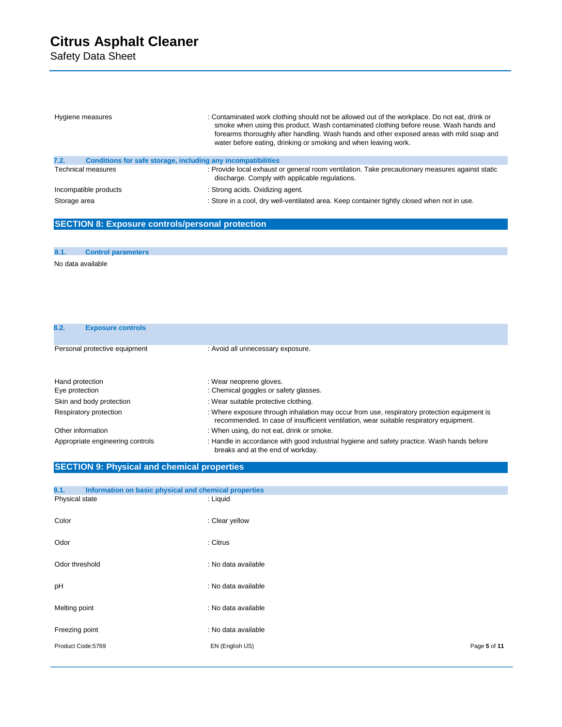Safety Data Sheet

| Hygiene measures                                                     | : Contaminated work clothing should not be allowed out of the workplace. Do not eat, drink or<br>smoke when using this product. Wash contaminated clothing before reuse. Wash hands and<br>forearms thoroughly after handling. Wash hands and other exposed areas with mild soap and<br>water before eating, drinking or smoking and when leaving work. |
|----------------------------------------------------------------------|---------------------------------------------------------------------------------------------------------------------------------------------------------------------------------------------------------------------------------------------------------------------------------------------------------------------------------------------------------|
| 7.2.<br>Conditions for safe storage, including any incompatibilities |                                                                                                                                                                                                                                                                                                                                                         |
| <b>Technical measures</b>                                            | : Provide local exhaust or general room ventilation. Take precautionary measures against static<br>discharge. Comply with applicable regulations.                                                                                                                                                                                                       |
| Incompatible products                                                | : Strong acids. Oxidizing agent.                                                                                                                                                                                                                                                                                                                        |
| Storage area                                                         | : Store in a cool, dry well-ventilated area. Keep container tightly closed when not in use.                                                                                                                                                                                                                                                             |

# **SECTION 8: Exposure controls/personal protection**

### **8.1. Control parameters**

No data available

| 8.2. | <b>Exposure controls</b>         |                                                                                                                                                                                       |
|------|----------------------------------|---------------------------------------------------------------------------------------------------------------------------------------------------------------------------------------|
|      | Personal protective equipment    | : Avoid all unnecessary exposure.                                                                                                                                                     |
|      | Hand protection                  | : Wear neoprene gloves.                                                                                                                                                               |
|      | Eye protection                   | : Chemical goggles or safety glasses.                                                                                                                                                 |
|      | Skin and body protection         | : Wear suitable protective clothing.                                                                                                                                                  |
|      | Respiratory protection           | : Where exposure through inhalation may occur from use, respiratory protection equipment is<br>recommended. In case of insufficient ventilation, wear suitable respiratory equipment. |
|      | Other information                | : When using, do not eat, drink or smoke.                                                                                                                                             |
|      | Appropriate engineering controls | : Handle in accordance with good industrial hygiene and safety practice. Wash hands before<br>breaks and at the end of workday.                                                       |

# **SECTION 9: Physical and chemical properties**

| 9.1.<br>Information on basic physical and chemical properties |                     |              |
|---------------------------------------------------------------|---------------------|--------------|
| Physical state                                                | : Liquid            |              |
| Color                                                         | : Clear yellow      |              |
|                                                               |                     |              |
| Odor                                                          | : Citrus            |              |
|                                                               |                     |              |
| Odor threshold                                                | : No data available |              |
| pH                                                            | : No data available |              |
|                                                               |                     |              |
| Melting point                                                 | : No data available |              |
| Freezing point                                                | : No data available |              |
|                                                               |                     |              |
| Product Code:5769                                             | EN (English US)     | Page 5 of 11 |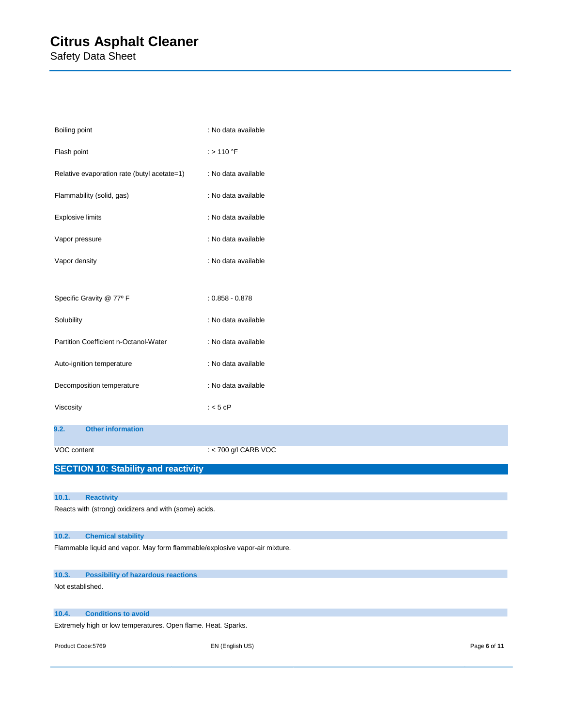Safety Data Sheet

| Boiling point                                                                       | : No data available             |  |
|-------------------------------------------------------------------------------------|---------------------------------|--|
| Flash point                                                                         | : > 110 °F                      |  |
| Relative evaporation rate (butyl acetate=1)                                         | : No data available             |  |
| Flammability (solid, gas)                                                           | : No data available             |  |
| <b>Explosive limits</b>                                                             | : No data available             |  |
| Vapor pressure                                                                      | : No data available             |  |
| Vapor density                                                                       | : No data available             |  |
| Specific Gravity @ 77° F                                                            | $: 0.858 - 0.878$               |  |
| Solubility                                                                          | : No data available             |  |
| Partition Coefficient n-Octanol-Water                                               | : No data available             |  |
| Auto-ignition temperature                                                           | : No data available             |  |
| Decomposition temperature                                                           | : No data available             |  |
| Viscosity                                                                           | : $< 5$ cP                      |  |
| 9.2.<br><b>Other information</b>                                                    |                                 |  |
| VOC content                                                                         | : < 700 g/l CARB VOC            |  |
| <b>SECTION 10: Stability and reactivity</b>                                         |                                 |  |
|                                                                                     |                                 |  |
| 10.1.<br><b>Reactivity</b><br>Reacts with (strong) oxidizers and with (some) acids. |                                 |  |
|                                                                                     |                                 |  |
| 10.2.<br><b>Chemical stability</b>                                                  |                                 |  |
| Flammable liquid and vapor. May form flammable/explosive vapor-air mixture.         |                                 |  |
| <b>Possibility of hazardous reactions</b><br>10.3.                                  |                                 |  |
| Not established.                                                                    |                                 |  |
| <b>Conditions to avoid</b><br>10.4.                                                 |                                 |  |
| Extremely high or low temperatures. Open flame. Heat. Sparks.                       |                                 |  |
| Product Code:5769                                                                   | EN (English US)<br>Page 6 of 11 |  |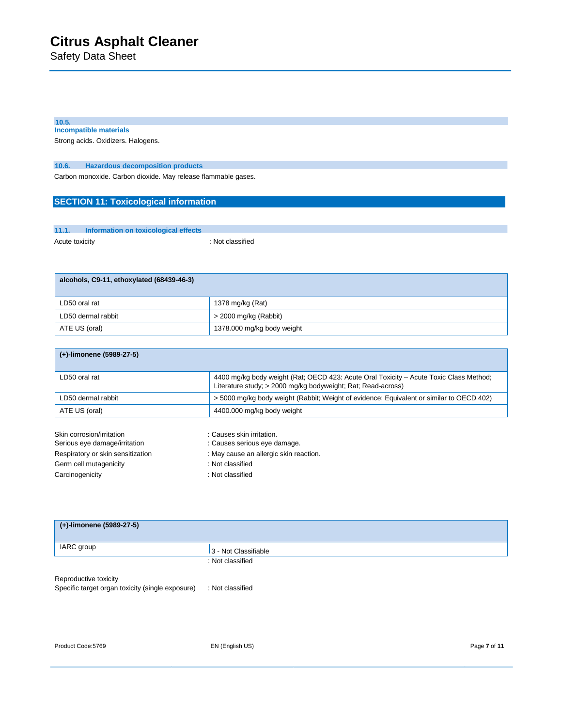Safety Data Sheet

#### **Incompatible materials 10.5.**

Strong acids. Oxidizers. Halogens.

#### **10.6. Hazardous decomposition products**

Carbon monoxide. Carbon dioxide. May release flammable gases.

### **SECTION 11: Toxicological information**

#### **11.1. Information on toxicological effects**

Acute toxicity **in the case of the case of the case of the case of the case of the case of the case of the case of the case of the case of the case of the case of the case of the case of the case of the case of the case of** 

| alcohols, C9-11, ethoxylated (68439-46-3) |                            |  |
|-------------------------------------------|----------------------------|--|
| LD50 oral rat                             | 1378 mg/kg (Rat)           |  |
| LD50 dermal rabbit                        | > 2000 mg/kg (Rabbit)      |  |
| ATE US (oral)                             | 1378.000 mg/kg body weight |  |

### **(+)-limonene (5989-27-5)**

| LD50 oral rat      | 4400 mg/kg body weight (Rat: OECD 423: Acute Oral Toxicity – Acute Toxic Class Method:<br>Literature study; > 2000 mg/kg bodyweight; Rat; Read-across) |
|--------------------|--------------------------------------------------------------------------------------------------------------------------------------------------------|
| LD50 dermal rabbit | > 5000 mg/kg body weight (Rabbit; Weight of evidence; Equivalent or similar to OECD 402)                                                               |
| ATE US (oral)      | 4400.000 mg/kg body weight                                                                                                                             |

| Skin corrosion/irritation<br>Serious eye damage/irritation | : Causes skin irritation.<br>: Causes serious eye damage. |
|------------------------------------------------------------|-----------------------------------------------------------|
| Respiratory or skin sensitization                          | : May cause an allergic skin reaction.                    |
| Germ cell mutagenicity                                     | : Not classified                                          |
| Carcinogenicity                                            | : Not classified                                          |

| $(+)$ -limonene (5989-27-5) |                      |  |
|-----------------------------|----------------------|--|
| IARC group                  | 3 - Not Classifiable |  |
|                             | : Not classified     |  |
| Reproductive toxicity       |                      |  |

Specific target organ toxicity (single exposure) : Not classified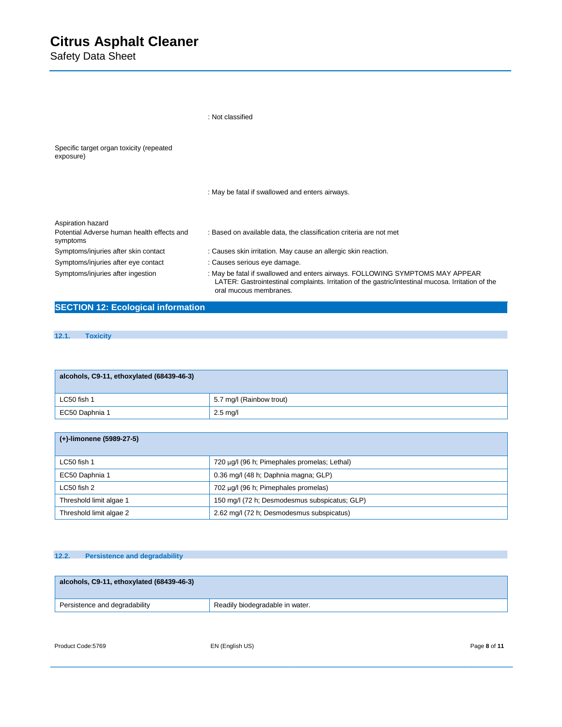Safety Data Sheet

|                                                        | : Not classified                                                                                                                                                                                              |
|--------------------------------------------------------|---------------------------------------------------------------------------------------------------------------------------------------------------------------------------------------------------------------|
| Specific target organ toxicity (repeated<br>exposure)  |                                                                                                                                                                                                               |
|                                                        | : May be fatal if swallowed and enters airways.                                                                                                                                                               |
| Aspiration hazard                                      |                                                                                                                                                                                                               |
| Potential Adverse human health effects and<br>symptoms | : Based on available data, the classification criteria are not met                                                                                                                                            |
| Symptoms/injuries after skin contact                   | : Causes skin irritation. May cause an allergic skin reaction.                                                                                                                                                |
| Symptoms/injuries after eye contact                    | : Causes serious eye damage.                                                                                                                                                                                  |
| Symptoms/injuries after ingestion                      | : May be fatal if swallowed and enters airways. FOLLOWING SYMPTOMS MAY APPEAR<br>LATER: Gastrointestinal complaints. Irritation of the gastric/intestinal mucosa. Irritation of the<br>oral mucous membranes. |

# **SECTION 12: Ecological information**

# **12.1. Toxicity**

| alcohols, C9-11, ethoxylated (68439-46-3) |                          |
|-------------------------------------------|--------------------------|
| LC50 fish 1                               | 5.7 mg/l (Rainbow trout) |
| EC50 Daphnia 1                            | $2.5 \text{ mq/l}$       |

### **(+)-limonene (5989-27-5)**

| LC50 fish 1             | $720 \mu g/l$ (96 h; Pimephales promelas; Lethal) |
|-------------------------|---------------------------------------------------|
| EC50 Daphnia 1          | 0.36 mg/l (48 h; Daphnia magna; GLP)              |
| $LC50$ fish 2           | 702 μg/l (96 h; Pimephales promelas)              |
| Threshold limit algae 1 | 150 mg/l (72 h; Desmodesmus subspicatus; GLP)     |
| Threshold limit algae 2 | 2.62 mg/l (72 h; Desmodesmus subspicatus)         |

# **12.2. Persistence and degradability**

| alcohols, C9-11, ethoxylated (68439-46-3) |                                 |
|-------------------------------------------|---------------------------------|
| Persistence and degradability             | Readily biodegradable in water. |

Product Code:5769 EN (English US) Page **8** of **11**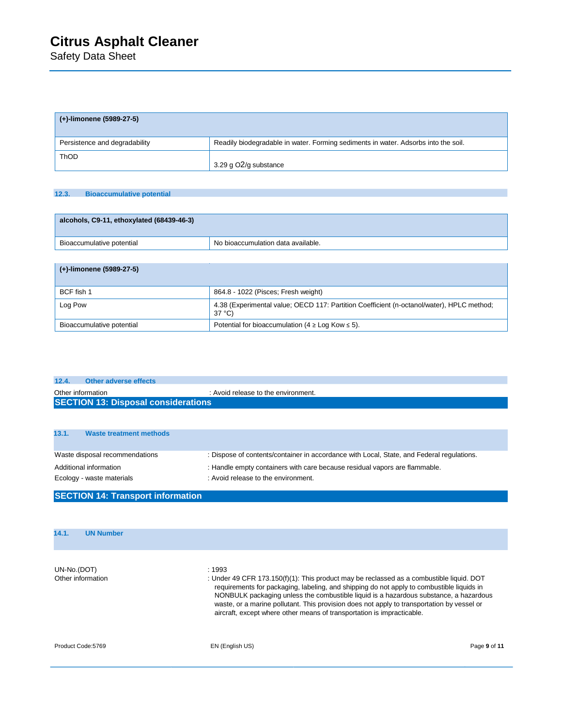Safety Data Sheet

| (+)-limonene (5989-27-5)      |                                                                                    |
|-------------------------------|------------------------------------------------------------------------------------|
| Persistence and degradability | Readily biodegradable in water. Forming sediments in water. Adsorbs into the soil. |
| <b>ThOD</b>                   | 3.29 g O2/g substance                                                              |

## **12.3. Bioaccumulative potential**

| alcohols, C9-11, ethoxylated (68439-46-3) |                                    |
|-------------------------------------------|------------------------------------|
| Bioaccumulative potential                 | No bioaccumulation data available. |

| (+)-limonene (5989-27-5)  |                                                                                                              |
|---------------------------|--------------------------------------------------------------------------------------------------------------|
| BCF fish 1                | 864.8 - 1022 (Pisces: Fresh weight)                                                                          |
| Log Pow                   | 4.38 (Experimental value; OECD 117: Partition Coefficient (n-octanol/water), HPLC method;<br>$37^{\circ}$ C) |
| Bioaccumulative potential | Potential for bioaccumulation (4 $\ge$ Log Kow $\le$ 5).                                                     |

| 12.4.                                      | Other adverse effects          |                                     |
|--------------------------------------------|--------------------------------|-------------------------------------|
|                                            | Other information              | : Avoid release to the environment. |
| <b>SECTION 13: Disposal considerations</b> |                                |                                     |
|                                            |                                |                                     |
|                                            |                                |                                     |
| 13.1.                                      | <b>Waste treatment methods</b> |                                     |

| Waste disposal recommendations | : Dispose of contents/container in accordance with Local, State, and Federal regulations. |
|--------------------------------|-------------------------------------------------------------------------------------------|
| Additional information         | : Handle empty containers with care because residual vapors are flammable.                |
| Ecology - waste materials      | : Avoid release to the environment.                                                       |
|                                |                                                                                           |

# **SECTION 14: Transport information**

| 14.1.                            | <b>UN Number</b> |                                                                                                                                                                                                                                                                                                                                                                                                                                                                 |              |
|----------------------------------|------------------|-----------------------------------------------------------------------------------------------------------------------------------------------------------------------------------------------------------------------------------------------------------------------------------------------------------------------------------------------------------------------------------------------------------------------------------------------------------------|--------------|
| UN-No.(DOT)<br>Other information |                  | :1993<br>: Under 49 CFR 173.150(f)(1): This product may be reclassed as a combustible liquid. DOT<br>requirements for packaging, labeling, and shipping do not apply to combustible liquids in<br>NONBULK packaging unless the combustible liquid is a hazardous substance, a hazardous<br>waste, or a marine pollutant. This provision does not apply to transportation by vessel or<br>aircraft, except where other means of transportation is impracticable. |              |
| Product Code:5769                |                  | EN (English US)                                                                                                                                                                                                                                                                                                                                                                                                                                                 | Page 9 of 11 |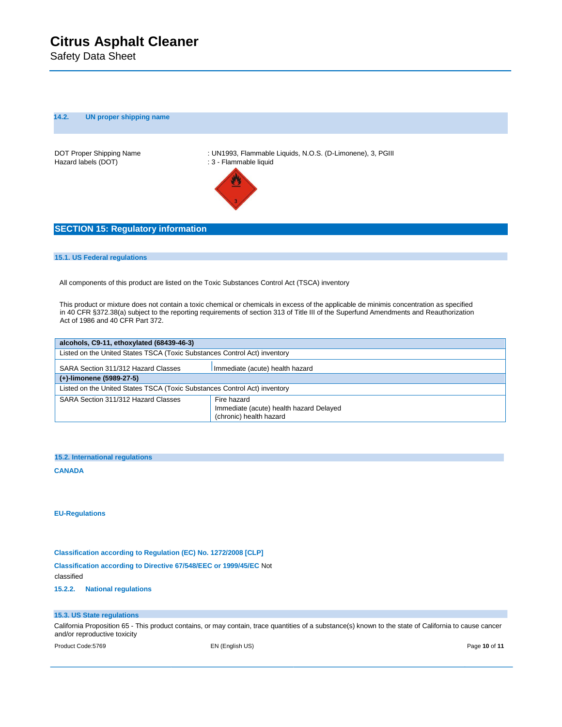Safety Data Sheet

**14.2. UN proper shipping name** 

DOT Proper Shipping Name Hazard labels (DOT) in the set of the set of the set of the set of the set of the set of the set of the set of the set of the set of the set of the set of the set of the set of the set of the set of the set of the set of t

: UN1993, Flammable Liquids, N.O.S. (D-Limonene), 3, PGIII



### **SECTION 15: Regulatory information**

**15.1. US Federal regulations** 

All components of this product are listed on the Toxic Substances Control Act (TSCA) inventory

This product or mixture does not contain a toxic chemical or chemicals in excess of the applicable de minimis concentration as specified in 40 CFR §372.38(a) subject to the reporting requirements of section 313 of Title III of the Superfund Amendments and Reauthorization Act of 1986 and 40 CFR Part 372.

| alcohols, C9-11, ethoxylated (68439-46-3)                                 |                                         |  |  |  |  |
|---------------------------------------------------------------------------|-----------------------------------------|--|--|--|--|
| Listed on the United States TSCA (Toxic Substances Control Act) inventory |                                         |  |  |  |  |
| SARA Section 311/312 Hazard Classes                                       | Immediate (acute) health hazard         |  |  |  |  |
| (+)-limonene (5989-27-5)                                                  |                                         |  |  |  |  |
| Listed on the United States TSCA (Toxic Substances Control Act) inventory |                                         |  |  |  |  |
| SARA Section 311/312 Hazard Classes                                       | Fire hazard                             |  |  |  |  |
|                                                                           | Immediate (acute) health hazard Delayed |  |  |  |  |
|                                                                           | (chronic) health hazard                 |  |  |  |  |

#### **15.2. International regulations**

**CANADA** 

#### **EU-Regulations**

**Classification according to Regulation (EC) No. 1272/2008 [CLP]** 

**Classification according to Directive 67/548/EEC or 1999/45/EC** Not classified

**15.2.2. National regulations** 

#### **15.3. US State regulations**

California Proposition 65 - This product contains, or may contain, trace quantities of a substance(s) known to the state of California to cause cancer and/or reproductive toxicity

Product Code:5769 EN (English US) Page **10** of **11**